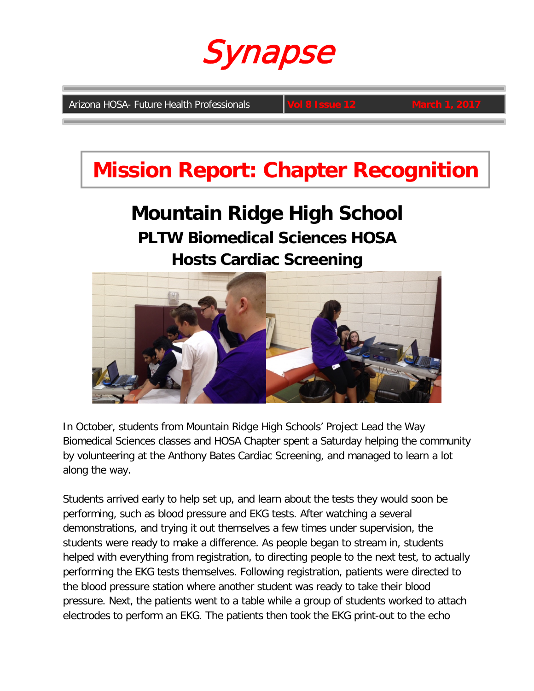

**Arizona HOSA- Future Health Professionals** 

### **Mission Report: Chapter Recognition**

### **Mountain Ridge High School PLTW Biomedical Sciences HOSA Hosts Cardiac Screening**



In October, students from Mountain Ridge High Schools' Project Lead the Way Biomedical Sciences classes and HOSA Chapter spent a Saturday helping the community by volunteering at the Anthony Bates Cardiac Screening, and managed to learn a lot along the way.

Students arrived early to help set up, and learn about the tests they would soon be performing, such as blood pressure and EKG tests. After watching a several demonstrations, and trying it out themselves a few times under supervision, the students were ready to make a difference. As people began to stream in, students helped with everything from registration, to directing people to the next test, to actually performing the EKG tests themselves. Following registration, patients were directed to the blood pressure station where another student was ready to take their blood pressure. Next, the patients went to a table while a group of students worked to attach electrodes to perform an EKG. The patients then took the EKG print-out to the echo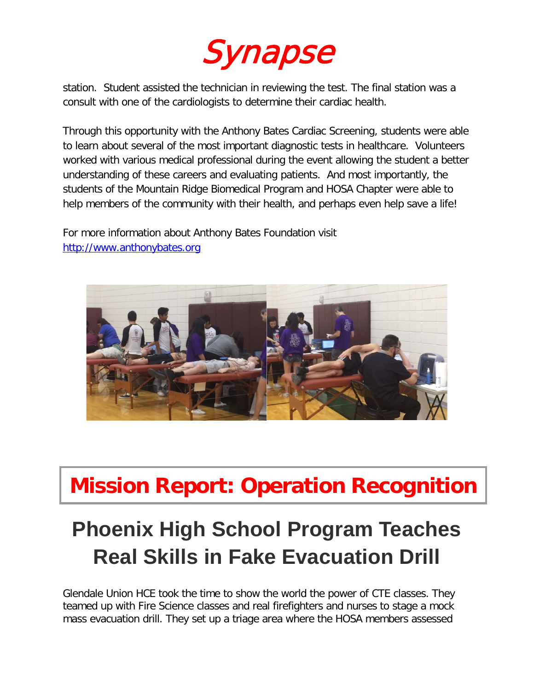

station. Student assisted the technician in reviewing the test. The final station was a consult with one of the cardiologists to determine their cardiac health.

Through this opportunity with the Anthony Bates Cardiac Screening, students were able to learn about several of the most important diagnostic tests in healthcare. Volunteers worked with various medical professional during the event allowing the student a better understanding of these careers and evaluating patients. And most importantly, the students of the Mountain Ridge Biomedical Program and HOSA Chapter were able to help members of the community with their health, and perhaps even help save a life!

For more information about Anthony Bates Foundation visit [http://www.anthonybates.org](http://www.anthonybates.org/)



## **Mission Report: Operation Recognition**

# **Phoenix High School Program Teaches Real Skills in Fake Evacuation Drill**

Glendale Union HCE took the time to show the world the power of CTE classes. They teamed up with Fire Science classes and real firefighters and nurses to stage a mock mass evacuation drill. They set up a triage area where the HOSA members assessed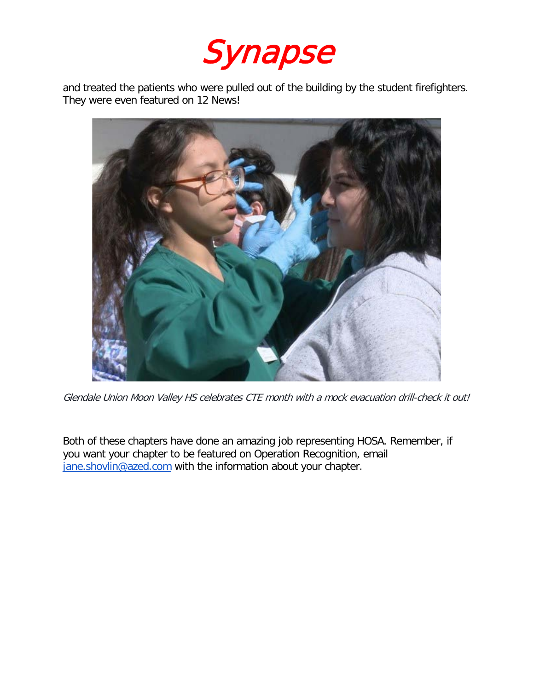

and treated the patients who were pulled out of the building by the student firefighters. They were even featured on 12 News!



Glendale Union Moon Valley HS celebrates CTE month with a mock evacuation drill-check it out!

Both of these chapters have done an amazing job representing HOSA. Remember, if you want your chapter to be featured on Operation Recognition, email [jane.shovlin@azed.com](mailto:jane.shovlin@azed.com) with the information about your chapter.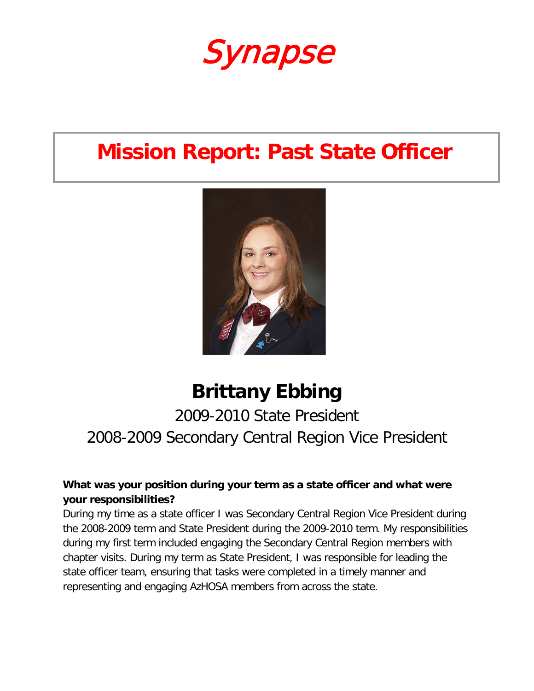

### **Mission Report: Past State Officer**



### **Brittany Ebbing**

### 2009-2010 State President 2008-2009 Secondary Central Region Vice President

#### **What was your position during your term as a state officer and what were your responsibilities?**

During my time as a state officer I was Secondary Central Region Vice President during the 2008-2009 term and State President during the 2009-2010 term. My responsibilities during my first term included engaging the Secondary Central Region members with chapter visits. During my term as State President, I was responsible for leading the state officer team, ensuring that tasks were completed in a timely manner and representing and engaging AzHOSA members from across the state.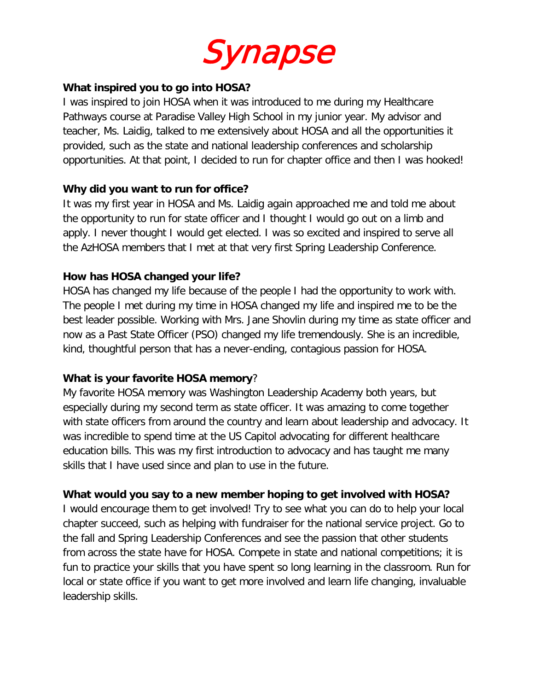

#### **What inspired you to go into HOSA?**

I was inspired to join HOSA when it was introduced to me during my Healthcare Pathways course at Paradise Valley High School in my junior year. My advisor and teacher, Ms. Laidig, talked to me extensively about HOSA and all the opportunities it provided, such as the state and national leadership conferences and scholarship opportunities. At that point, I decided to run for chapter office and then I was hooked!

#### **Why did you want to run for office?**

It was my first year in HOSA and Ms. Laidig again approached me and told me about the opportunity to run for state officer and I thought I would go out on a limb and apply. I never thought I would get elected. I was so excited and inspired to serve all the AzHOSA members that I met at that very first Spring Leadership Conference.

#### **How has HOSA changed your life?**

HOSA has changed my life because of the people I had the opportunity to work with. The people I met during my time in HOSA changed my life and inspired me to be the best leader possible. Working with Mrs. Jane Shovlin during my time as state officer and now as a Past State Officer (PSO) changed my life tremendously. She is an incredible, kind, thoughtful person that has a never-ending, contagious passion for HOSA.

#### **What is your favorite HOSA memory**?

My favorite HOSA memory was Washington Leadership Academy both years, but especially during my second term as state officer. It was amazing to come together with state officers from around the country and learn about leadership and advocacy. It was incredible to spend time at the US Capitol advocating for different healthcare education bills. This was my first introduction to advocacy and has taught me many skills that I have used since and plan to use in the future.

#### **What would you say to a new member hoping to get involved with HOSA?**

I would encourage them to get involved! Try to see what you can do to help your local chapter succeed, such as helping with fundraiser for the national service project. Go to the fall and Spring Leadership Conferences and see the passion that other students from across the state have for HOSA. Compete in state and national competitions; it is fun to practice your skills that you have spent so long learning in the classroom. Run for local or state office if you want to get more involved and learn life changing, invaluable leadership skills.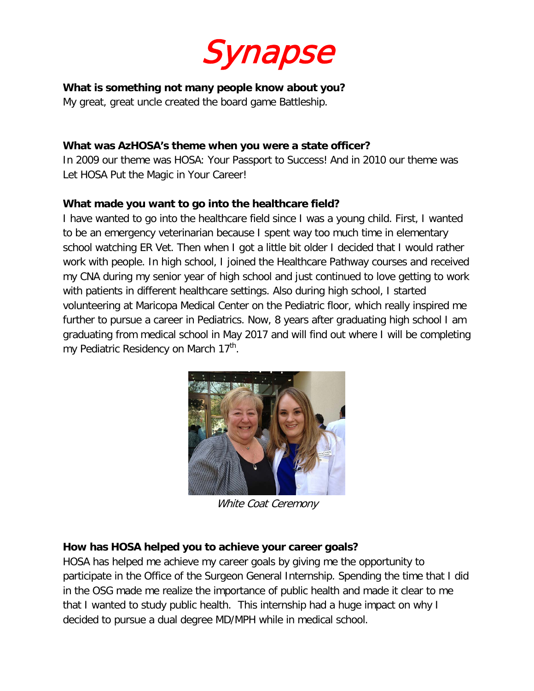

#### **What is something not many people know about you?**

My great, great uncle created the board game Battleship.

#### **What was AzHOSA's theme when you were a state officer?**

In 2009 our theme was HOSA: Your Passport to Success! And in 2010 our theme was Let HOSA Put the Magic in Your Career!

#### **What made you want to go into the healthcare field?**

I have wanted to go into the healthcare field since I was a young child. First, I wanted to be an emergency veterinarian because I spent way too much time in elementary school watching ER Vet. Then when I got a little bit older I decided that I would rather work with people. In high school, I joined the Healthcare Pathway courses and received my CNA during my senior year of high school and just continued to love getting to work with patients in different healthcare settings. Also during high school, I started volunteering at Maricopa Medical Center on the Pediatric floor, which really inspired me further to pursue a career in Pediatrics. Now, 8 years after graduating high school I am graduating from medical school in May 2017 and will find out where I will be completing my Pediatric Residency on March 17<sup>th</sup>.



White Coat Ceremony

#### **How has HOSA helped you to achieve your career goals?**

HOSA has helped me achieve my career goals by giving me the opportunity to participate in the Office of the Surgeon General Internship. Spending the time that I did in the OSG made me realize the importance of public health and made it clear to me that I wanted to study public health. This internship had a huge impact on why I decided to pursue a dual degree MD/MPH while in medical school.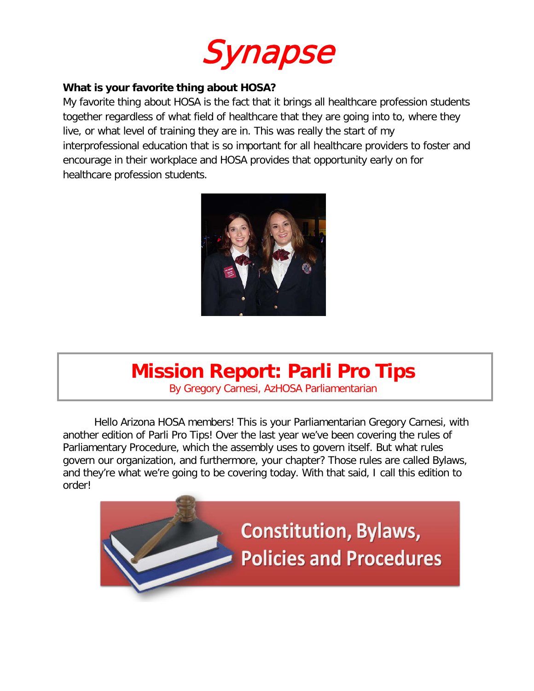

#### **What is your favorite thing about HOSA?**

My favorite thing about HOSA is the fact that it brings all healthcare profession students together regardless of what field of healthcare that they are going into to, where they live, or what level of training they are in. This was really the start of my interprofessional education that is so important for all healthcare providers to foster and encourage in their workplace and HOSA provides that opportunity early on for healthcare profession students.



### **Mission Report: Parli Pro Tips**

By Gregory Carnesi, AzHOSA Parliamentarian

Hello Arizona HOSA members! This is your Parliamentarian Gregory Carnesi, with another edition of Parli Pro Tips! Over the last year we've been covering the rules of Parliamentary Procedure, which the assembly uses to govern itself. But what rules govern our organization, and furthermore, your chapter? Those rules are called Bylaws, and they're what we're going to be covering today. With that said, I call this edition to order!

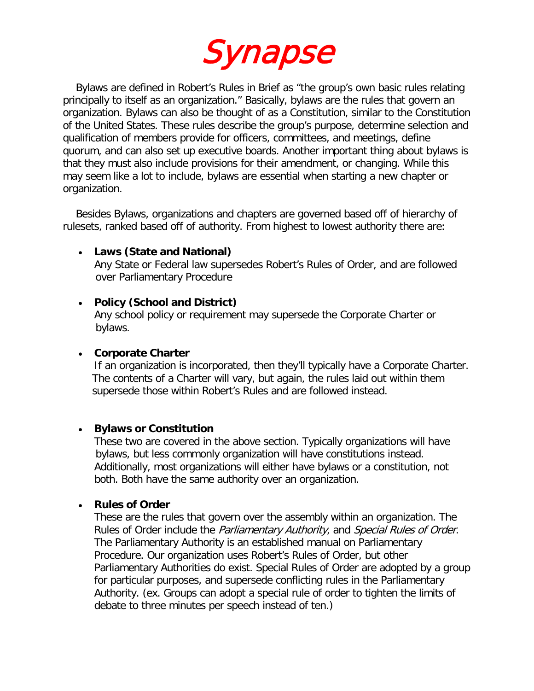

Bylaws are defined in Robert's Rules in Brief as "the group's own basic rules relating principally to itself as an organization." Basically, bylaws are the rules that govern an organization. Bylaws can also be thought of as a Constitution, similar to the Constitution of the United States. These rules describe the group's purpose, determine selection and qualification of members provide for officers, committees, and meetings, define quorum, and can also set up executive boards. Another important thing about bylaws is that they must also include provisions for their amendment, or changing. While this may seem like a lot to include, bylaws are essential when starting a new chapter or organization.

 Besides Bylaws, organizations and chapters are governed based off of hierarchy of rulesets, ranked based off of authority. From highest to lowest authority there are:

#### • **Laws (State and National)**

 Any State or Federal law supersedes Robert's Rules of Order, and are followed over Parliamentary Procedure

#### • **Policy (School and District)**

 Any school policy or requirement may supersede the Corporate Charter or bylaws.

#### • **Corporate Charter**

 If an organization is incorporated, then they'll typically have a Corporate Charter. The contents of a Charter will vary, but again, the rules laid out within them supersede those within Robert's Rules and are followed instead.

#### • **Bylaws or Constitution**

These two are covered in the above section. Typically organizations will have bylaws, but less commonly organization will have constitutions instead. Additionally, most organizations will either have bylaws or a constitution, not both. Both have the same authority over an organization.

#### • **Rules of Order**

These are the rules that govern over the assembly within an organization. The Rules of Order include the Parliamentary Authority, and Special Rules of Order. The Parliamentary Authority is an established manual on Parliamentary Procedure. Our organization uses Robert's Rules of Order, but other Parliamentary Authorities do exist. Special Rules of Order are adopted by a group for particular purposes, and supersede conflicting rules in the Parliamentary Authority. (ex. Groups can adopt a special rule of order to tighten the limits of debate to three minutes per speech instead of ten.)